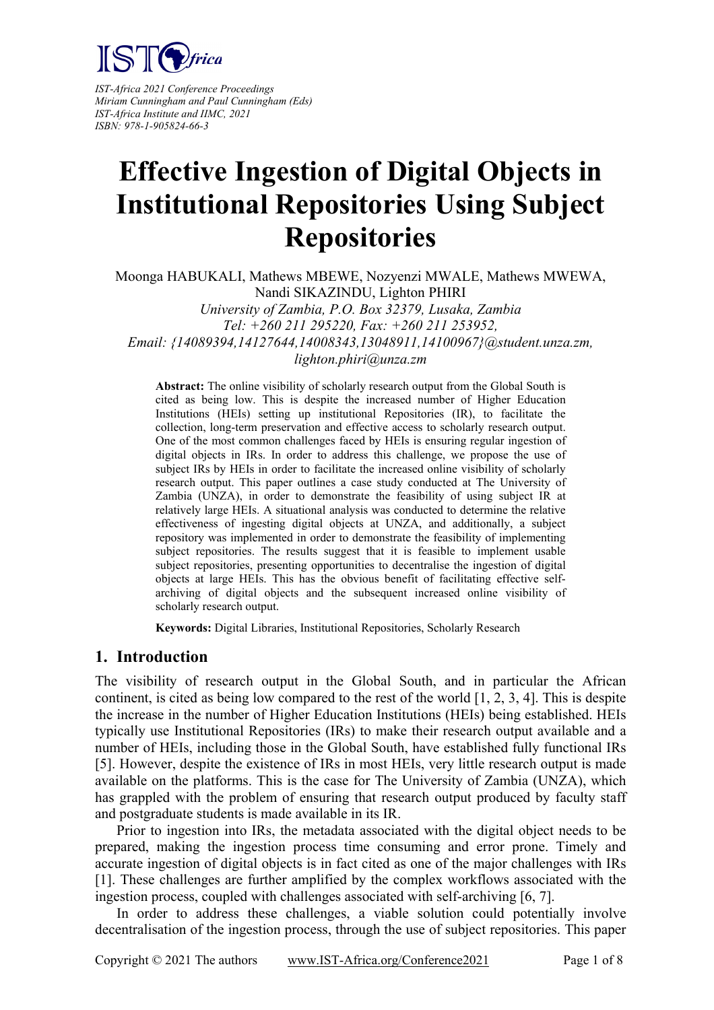

*IST-Africa 2021 Conference Proceedings Miriam Cunningham and Paul Cunningham (Eds) IST-Africa Institute and IIMC, 2021 ISBN: 978-1-905824-66-3*

# **Effective Ingestion of Digital Objects in Institutional Repositories Using Subject Repositories**

Moonga HABUKALI, Mathews MBEWE, Nozyenzi MWALE, Mathews MWEWA, Nandi SIKAZINDU, Lighton PHIRI *University of Zambia, P.O. Box 32379, Lusaka, Zambia Tel: +260 211 295220, Fax: +260 211 253952, Email: {14089394,14127644,14008343,13048911,14100967}@student.unza.zm, lighton.phiri@unza.zm*

**Abstract:** The online visibility of scholarly research output from the Global South is cited as being low. This is despite the increased number of Higher Education Institutions (HEIs) setting up institutional Repositories (IR), to facilitate the collection, long-term preservation and effective access to scholarly research output. One of the most common challenges faced by HEIs is ensuring regular ingestion of digital objects in IRs. In order to address this challenge, we propose the use of subject IRs by HEIs in order to facilitate the increased online visibility of scholarly research output. This paper outlines a case study conducted at The University of Zambia (UNZA), in order to demonstrate the feasibility of using subject IR at relatively large HEIs. A situational analysis was conducted to determine the relative effectiveness of ingesting digital objects at UNZA, and additionally, a subject repository was implemented in order to demonstrate the feasibility of implementing subject repositories. The results suggest that it is feasible to implement usable subject repositories, presenting opportunities to decentralise the ingestion of digital objects at large HEIs. This has the obvious benefit of facilitating effective selfarchiving of digital objects and the subsequent increased online visibility of scholarly research output.

**Keywords:** Digital Libraries, Institutional Repositories, Scholarly Research

#### **1. Introduction**

The visibility of research output in the Global South, and in particular the African continent, is cited as being low compared to the rest of the world [1, 2, 3, 4]. This is despite the increase in the number of Higher Education Institutions (HEIs) being established. HEIs typically use Institutional Repositories (IRs) to make their research output available and a number of HEIs, including those in the Global South, have established fully functional IRs [5]. However, despite the existence of IRs in most HEIs, very little research output is made available on the platforms. This is the case for The University of Zambia (UNZA), which has grappled with the problem of ensuring that research output produced by faculty staff and postgraduate students is made available in its IR.

 Prior to ingestion into IRs, the metadata associated with the digital object needs to be prepared, making the ingestion process time consuming and error prone. Timely and accurate ingestion of digital objects is in fact cited as one of the major challenges with IRs [1]. These challenges are further amplified by the complex workflows associated with the ingestion process, coupled with challenges associated with self-archiving [6, 7].

 In order to address these challenges, a viable solution could potentially involve decentralisation of the ingestion process, through the use of subject repositories. This paper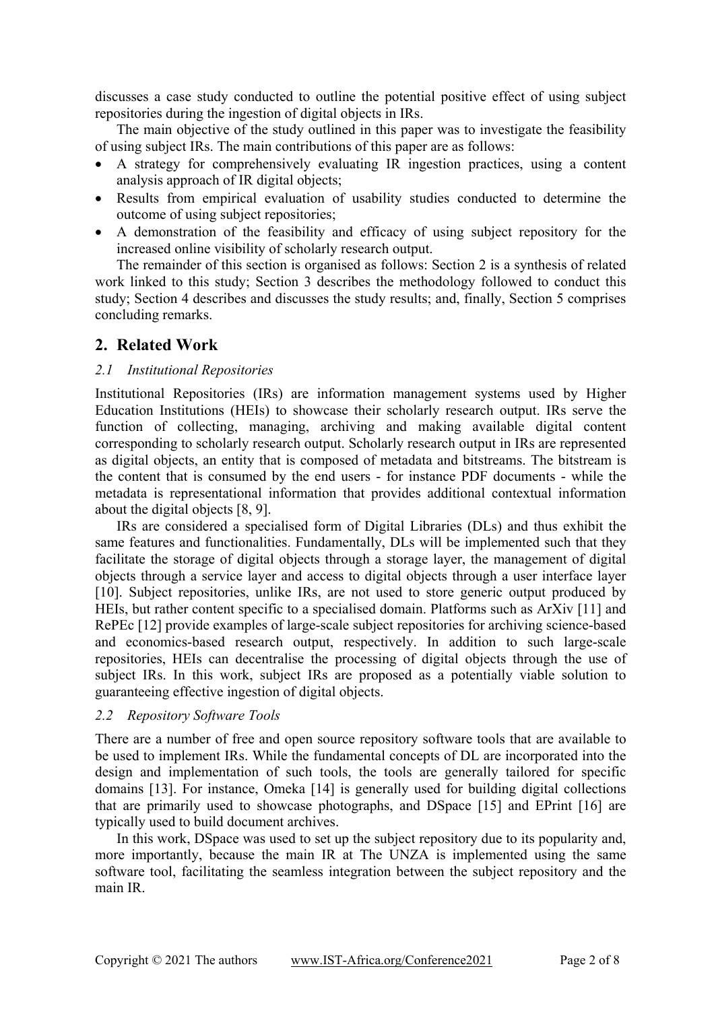discusses a case study conducted to outline the potential positive effect of using subject repositories during the ingestion of digital objects in IRs.

 The main objective of the study outlined in this paper was to investigate the feasibility of using subject IRs. The main contributions of this paper are as follows:

- A strategy for comprehensively evaluating IR ingestion practices, using a content analysis approach of IR digital objects;
- Results from empirical evaluation of usability studies conducted to determine the outcome of using subject repositories;
- A demonstration of the feasibility and efficacy of using subject repository for the increased online visibility of scholarly research output.

 The remainder of this section is organised as follows: Section 2 is a synthesis of related work linked to this study; Section 3 describes the methodology followed to conduct this study; Section 4 describes and discusses the study results; and, finally, Section 5 comprises concluding remarks.

# **2. Related Work**

#### *2.1 Institutional Repositories*

Institutional Repositories (IRs) are information management systems used by Higher Education Institutions (HEIs) to showcase their scholarly research output. IRs serve the function of collecting, managing, archiving and making available digital content corresponding to scholarly research output. Scholarly research output in IRs are represented as digital objects, an entity that is composed of metadata and bitstreams. The bitstream is the content that is consumed by the end users - for instance PDF documents - while the metadata is representational information that provides additional contextual information about the digital objects [8, 9].

 IRs are considered a specialised form of Digital Libraries (DLs) and thus exhibit the same features and functionalities. Fundamentally, DLs will be implemented such that they facilitate the storage of digital objects through a storage layer, the management of digital objects through a service layer and access to digital objects through a user interface layer [10]. Subject repositories, unlike IRs, are not used to store generic output produced by HEIs, but rather content specific to a specialised domain. Platforms such as ArXiv [11] and RePEc [12] provide examples of large-scale subject repositories for archiving science-based and economics-based research output, respectively. In addition to such large-scale repositories, HEIs can decentralise the processing of digital objects through the use of subject IRs. In this work, subject IRs are proposed as a potentially viable solution to guaranteeing effective ingestion of digital objects.

#### *2.2 Repository Software Tools*

There are a number of free and open source repository software tools that are available to be used to implement IRs. While the fundamental concepts of DL are incorporated into the design and implementation of such tools, the tools are generally tailored for specific domains [13]. For instance, Omeka [14] is generally used for building digital collections that are primarily used to showcase photographs, and DSpace [15] and EPrint [16] are typically used to build document archives.

In this work, DSpace was used to set up the subject repository due to its popularity and, more importantly, because the main IR at The UNZA is implemented using the same software tool, facilitating the seamless integration between the subject repository and the main IR.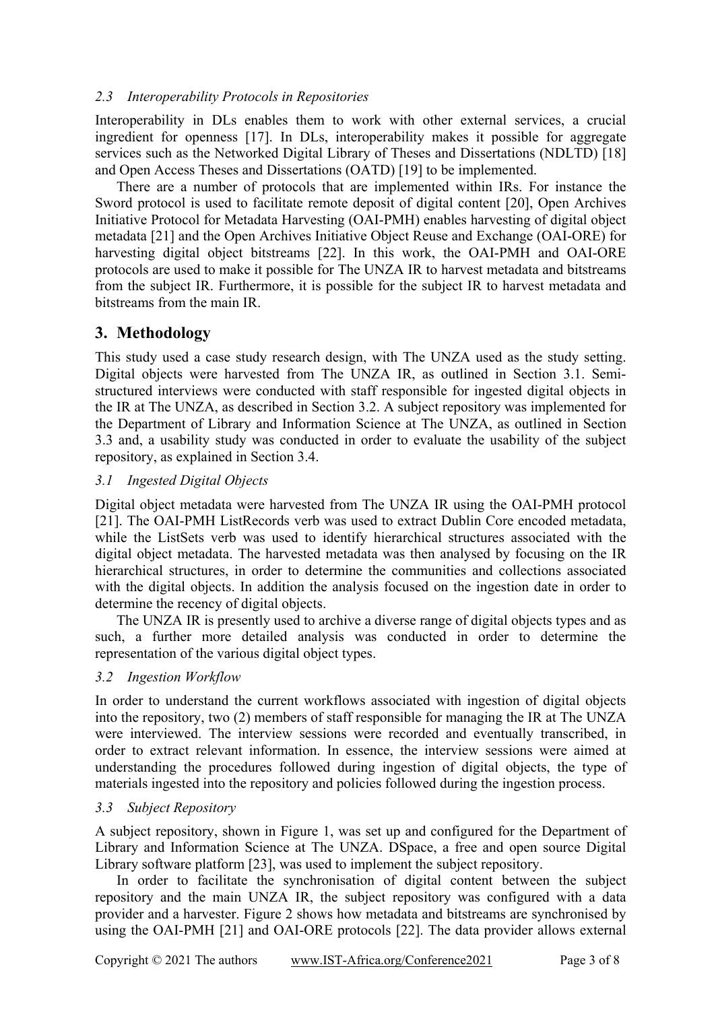#### *2.3 Interoperability Protocols in Repositories*

Interoperability in DLs enables them to work with other external services, a crucial ingredient for openness [17]. In DLs, interoperability makes it possible for aggregate services such as the Networked Digital Library of Theses and Dissertations (NDLTD) [18] and Open Access Theses and Dissertations (OATD) [19] to be implemented.

There are a number of protocols that are implemented within IRs. For instance the Sword protocol is used to facilitate remote deposit of digital content [20], Open Archives Initiative Protocol for Metadata Harvesting (OAI-PMH) enables harvesting of digital object metadata [21] and the Open Archives Initiative Object Reuse and Exchange (OAI-ORE) for harvesting digital object bitstreams [22]. In this work, the OAI-PMH and OAI-ORE protocols are used to make it possible for The UNZA IR to harvest metadata and bitstreams from the subject IR. Furthermore, it is possible for the subject IR to harvest metadata and bitstreams from the main IR.

# **3. Methodology**

This study used a case study research design, with The UNZA used as the study setting. Digital objects were harvested from The UNZA IR, as outlined in Section 3.1. Semistructured interviews were conducted with staff responsible for ingested digital objects in the IR at The UNZA, as described in Section 3.2. A subject repository was implemented for the Department of Library and Information Science at The UNZA, as outlined in Section 3.3 and, a usability study was conducted in order to evaluate the usability of the subject repository, as explained in Section 3.4.

#### *3.1 Ingested Digital Objects*

Digital object metadata were harvested from The UNZA IR using the OAI-PMH protocol [21]. The OAI-PMH ListRecords verb was used to extract Dublin Core encoded metadata, while the ListSets verb was used to identify hierarchical structures associated with the digital object metadata. The harvested metadata was then analysed by focusing on the IR hierarchical structures, in order to determine the communities and collections associated with the digital objects. In addition the analysis focused on the ingestion date in order to determine the recency of digital objects.

 The UNZA IR is presently used to archive a diverse range of digital objects types and as such, a further more detailed analysis was conducted in order to determine the representation of the various digital object types.

#### *3.2 Ingestion Workflow*

In order to understand the current workflows associated with ingestion of digital objects into the repository, two (2) members of staff responsible for managing the IR at The UNZA were interviewed. The interview sessions were recorded and eventually transcribed, in order to extract relevant information. In essence, the interview sessions were aimed at understanding the procedures followed during ingestion of digital objects, the type of materials ingested into the repository and policies followed during the ingestion process.

#### *3.3 Subject Repository*

A subject repository, shown in Figure 1, was set up and configured for the Department of Library and Information Science at The UNZA. DSpace, a free and open source Digital Library software platform [23], was used to implement the subject repository.

 In order to facilitate the synchronisation of digital content between the subject repository and the main UNZA IR, the subject repository was configured with a data provider and a harvester. Figure 2 shows how metadata and bitstreams are synchronised by using the OAI-PMH [21] and OAI-ORE protocols [22]. The data provider allows external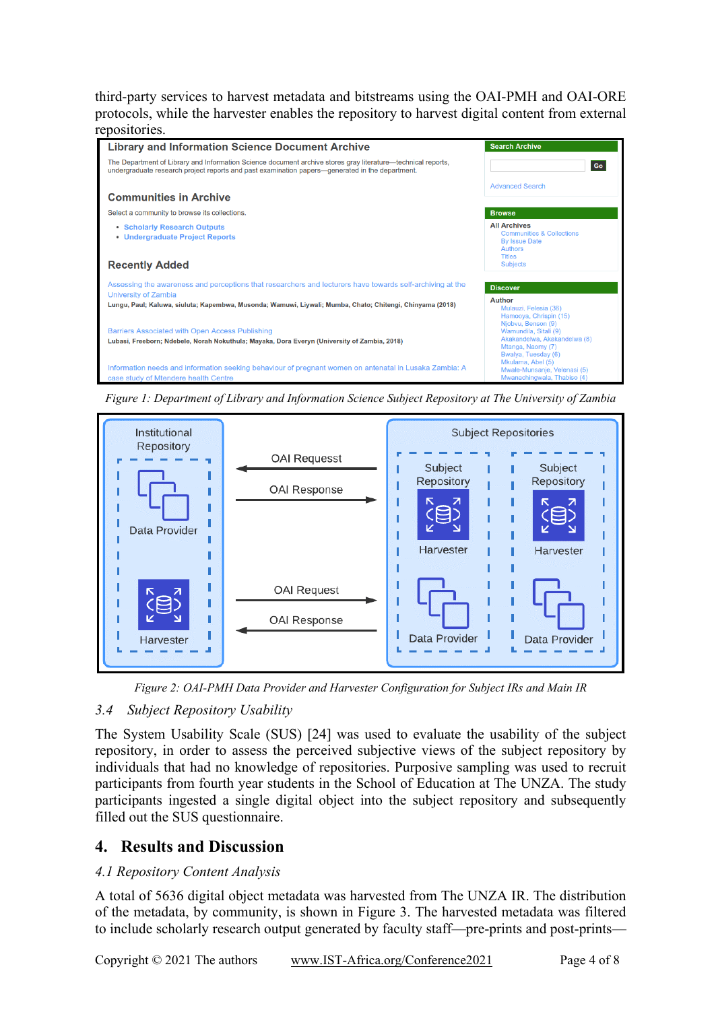third-party services to harvest metadata and bitstreams using the OAI-PMH and OAI-ORE protocols, while the harvester enables the repository to harvest digital content from external repositories.



*Figure 1: Department of Library and Information Science Subject Repository at The University of Zambia* 



*Figure 2: OAI-PMH Data Provider and Harvester Configuration for Subject IRs and Main IR* 

# *3.4 Subject Repository Usability*

The System Usability Scale (SUS) [24] was used to evaluate the usability of the subject repository, in order to assess the perceived subjective views of the subject repository by individuals that had no knowledge of repositories. Purposive sampling was used to recruit participants from fourth year students in the School of Education at The UNZA. The study participants ingested a single digital object into the subject repository and subsequently filled out the SUS questionnaire.

# **4. Results and Discussion**

# *4.1 Repository Content Analysis*

A total of 5636 digital object metadata was harvested from The UNZA IR. The distribution of the metadata, by community, is shown in Figure 3. The harvested metadata was filtered to include scholarly research output generated by faculty staff—pre-prints and post-prints—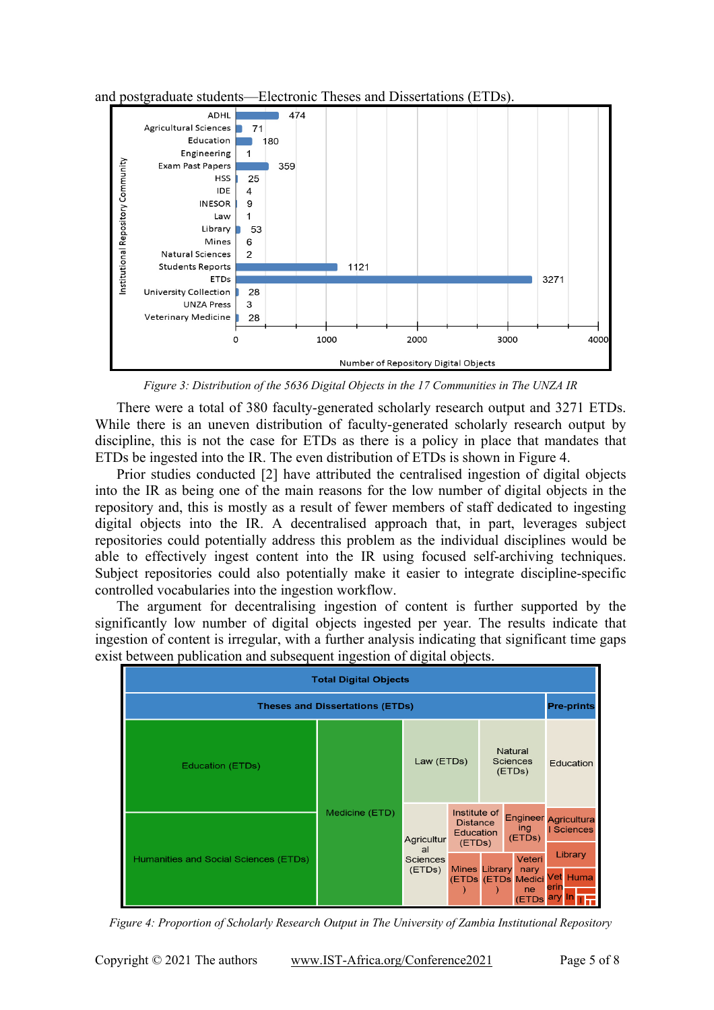

and postgraduate students—Electronic Theses and Dissertations (ETDs).

*Figure 3: Distribution of the 5636 Digital Objects in the 17 Communities in The UNZA IR* 

 There were a total of 380 faculty-generated scholarly research output and 3271 ETDs. While there is an uneven distribution of faculty-generated scholarly research output by discipline, this is not the case for ETDs as there is a policy in place that mandates that ETDs be ingested into the IR. The even distribution of ETDs is shown in Figure 4.

 Prior studies conducted [2] have attributed the centralised ingestion of digital objects into the IR as being one of the main reasons for the low number of digital objects in the repository and, this is mostly as a result of fewer members of staff dedicated to ingesting digital objects into the IR. A decentralised approach that, in part, leverages subject repositories could potentially address this problem as the individual disciplines would be able to effectively ingest content into the IR using focused self-archiving techniques. Subject repositories could also potentially make it easier to integrate discipline-specific controlled vocabularies into the ingestion workflow.

 The argument for decentralising ingestion of content is further supported by the significantly low number of digital objects ingested per year. The results indicate that ingestion of content is irregular, with a further analysis indicating that significant time gaps exist between publication and subsequent ingestion of digital objects.



*Figure 4: Proportion of Scholarly Research Output in The University of Zambia Institutional Repository*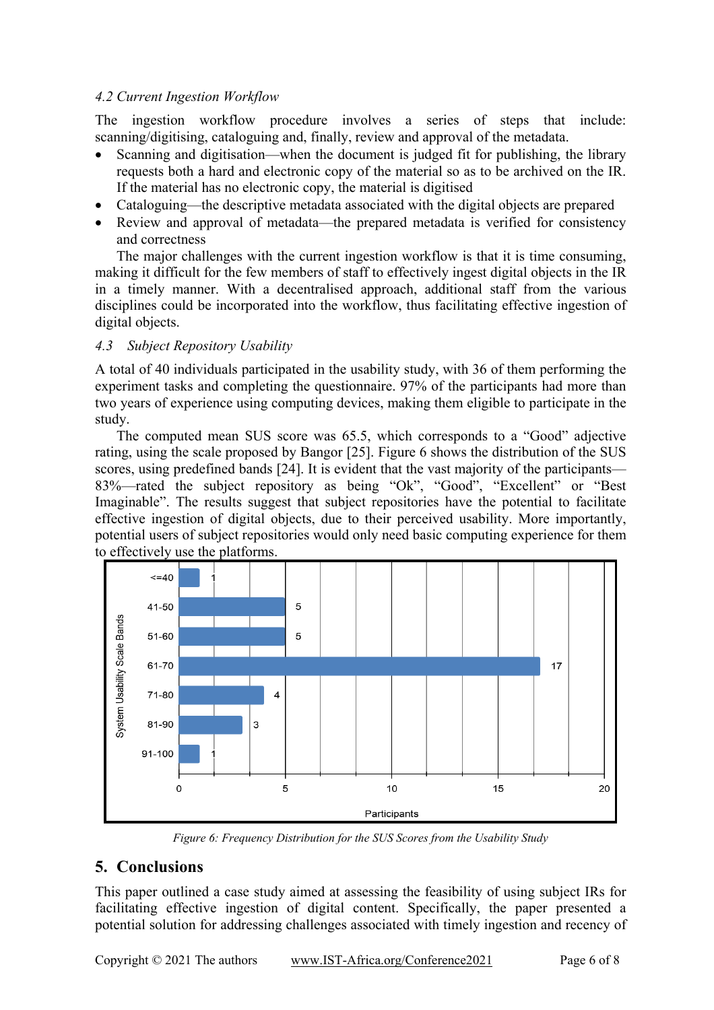#### *4.2 Current Ingestion Workflow*

The ingestion workflow procedure involves a series of steps that include: scanning/digitising, cataloguing and, finally, review and approval of the metadata.

- Scanning and digitisation—when the document is judged fit for publishing, the library requests both a hard and electronic copy of the material so as to be archived on the IR. If the material has no electronic copy, the material is digitised
- Cataloguing—the descriptive metadata associated with the digital objects are prepared
- Review and approval of metadata—the prepared metadata is verified for consistency and correctness

 The major challenges with the current ingestion workflow is that it is time consuming, making it difficult for the few members of staff to effectively ingest digital objects in the IR in a timely manner. With a decentralised approach, additional staff from the various disciplines could be incorporated into the workflow, thus facilitating effective ingestion of digital objects.

# *4.3 Subject Repository Usability*

A total of 40 individuals participated in the usability study, with 36 of them performing the experiment tasks and completing the questionnaire. 97% of the participants had more than two years of experience using computing devices, making them eligible to participate in the study.

 The computed mean SUS score was 65.5, which corresponds to a "Good" adjective rating, using the scale proposed by Bangor [25]. Figure 6 shows the distribution of the SUS scores, using predefined bands [24]. It is evident that the vast majority of the participants— 83%—rated the subject repository as being "Ok", "Good", "Excellent" or "Best Imaginable". The results suggest that subject repositories have the potential to facilitate effective ingestion of digital objects, due to their perceived usability. More importantly, potential users of subject repositories would only need basic computing experience for them to effectively use the platforms.



*Figure 6: Frequency Distribution for the SUS Scores from the Usability Study* 

# **5. Conclusions**

This paper outlined a case study aimed at assessing the feasibility of using subject IRs for facilitating effective ingestion of digital content. Specifically, the paper presented a potential solution for addressing challenges associated with timely ingestion and recency of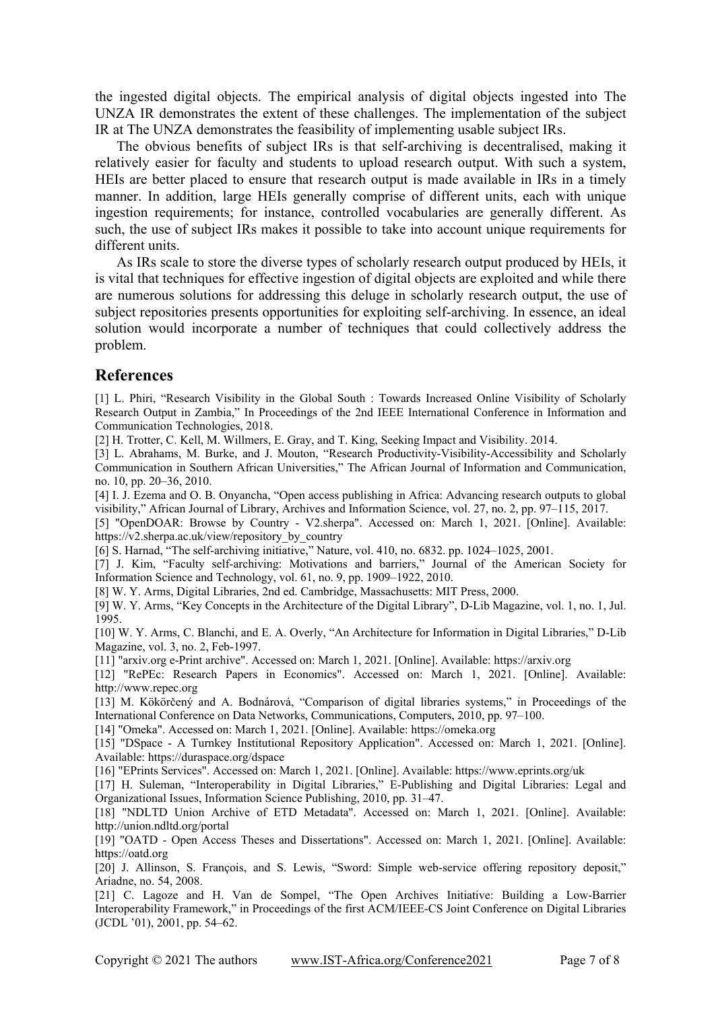the ingested digital objects. The empirical analysis of digital objects ingested into The UNZA IR demonstrates the extent of these challenges. The implementation of the subject IR at The UNZA demonstrates the feasibility of implementing usable subject IRs.

 The obvious benefits of subject IRs is that self-archiving is decentralised, making it relatively easier for faculty and students to upload research output. With such a system, HEIs are better placed to ensure that research output is made available in IRs in a timely manner. In addition, large HEIs generally comprise of different units, each with unique ingestion requirements; for instance, controlled vocabularies are generally different. As such, the use of subject IRs makes it possible to take into account unique requirements for different units.

 As IRs scale to store the diverse types of scholarly research output produced by HEIs, it is vital that techniques for effective ingestion of digital objects are exploited and while there are numerous solutions for addressing this deluge in scholarly research output, the use of subject repositories presents opportunities for exploiting self-archiving. In essence, an ideal solution would incorporate a number of techniques that could collectively address the problem.

#### **References**

[1] L. Phiri, "Research Visibility in the Global South : Towards Increased Online Visibility of Scholarly Research Output in Zambia," In Proceedings of the 2nd IEEE International Conference in Information and Communication Technologies, 2018.

[2] H. Trotter, C. Kell, M. Willmers, E. Gray, and T. King, Seeking Impact and Visibility. 2014.

[3] L. Abrahams, M. Burke, and J. Mouton, "Research Productivity-Visibility-Accessibility and Scholarly Communication in Southern African Universities," The African Journal of Information and Communication, no. 10, pp. 20–36, 2010.

[4] I. J. Ezema and O. B. Onyancha, "Open access publishing in Africa: Advancing research outputs to global visibility," African Journal of Library, Archives and Information Science, vol. 27, no. 2, pp. 97–115, 2017.

[5] "OpenDOAR: Browse by Country - V2.sherpa". Accessed on: March 1, 2021. [Online]. Available: https://v2.sherpa.ac.uk/view/repository\_by\_country

[6] S. Harnad, "The self-archiving initiative," Nature, vol. 410, no. 6832. pp. 1024–1025, 2001.

[7] J. Kim, "Faculty self-archiving: Motivations and barriers," Journal of the American Society for Information Science and Technology, vol. 61, no. 9, pp. 1909–1922, 2010.

[8] W. Y. Arms, Digital Libraries, 2nd ed. Cambridge, Massachusetts: MIT Press, 2000.

[9] W. Y. Arms, "Key Concepts in the Architecture of the Digital Library", D-Lib Magazine, vol. 1, no. 1, Jul. 1995.

[10] W. Y. Arms, C. Blanchi, and E. A. Overly, "An Architecture for Information in Digital Libraries," D-Lib Magazine, vol. 3, no. 2, Feb-1997.

[11] "arxiv.org e-Print archive". Accessed on: March 1, 2021. [Online]. Available: https://arxiv.org

[12] "RePEc: Research Papers in Economics". Accessed on: March 1, 2021. [Online]. Available: http://www.repec.org

[13] M. Kökörčený and A. Bodnárová, "Comparison of digital libraries systems," in Proceedings of the International Conference on Data Networks, Communications, Computers, 2010, pp. 97–100.

[14] "Omeka". Accessed on: March 1, 2021. [Online]. Available: https://omeka.org

[15] "DSpace - A Turnkey Institutional Repository Application". Accessed on: March 1, 2021. [Online]. Available: https://duraspace.org/dspace

[16] "EPrints Services". Accessed on: March 1, 2021. [Online]. Available: https://www.eprints.org/uk

[17] H. Suleman, "Interoperability in Digital Libraries," E-Publishing and Digital Libraries: Legal and Organizational Issues, Information Science Publishing, 2010, pp. 31–47.

[18] "NDLTD Union Archive of ETD Metadata". Accessed on: March 1, 2021. [Online]. Available: http://union.ndltd.org/portal

[19] "OATD - Open Access Theses and Dissertations". Accessed on: March 1, 2021. [Online]. Available: https://oatd.org

[20] J. Allinson, S. François, and S. Lewis, "Sword: Simple web-service offering repository deposit," Ariadne, no. 54, 2008.

[21] C. Lagoze and H. Van de Sompel, "The Open Archives Initiative: Building a Low-Barrier Interoperability Framework," in Proceedings of the first ACM/IEEE-CS Joint Conference on Digital Libraries (JCDL '01), 2001, pp. 54–62.